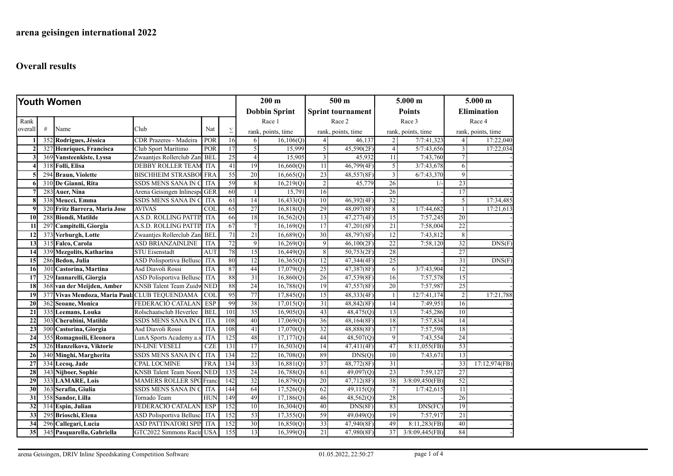| Youth Women     |                 |                                           |                                 |            |                 | $200 \text{ m}$ |                      | 500 <sub>m</sub> |                          | $5.000 \text{ m}$ |                    | 5.000 m         |                    |  |
|-----------------|-----------------|-------------------------------------------|---------------------------------|------------|-----------------|-----------------|----------------------|------------------|--------------------------|-------------------|--------------------|-----------------|--------------------|--|
|                 |                 |                                           |                                 |            |                 |                 | <b>Dobbin Sprint</b> |                  | <b>Sprint tournament</b> |                   | <b>Points</b>      |                 | <b>Elimination</b> |  |
| Rank            |                 |                                           |                                 |            |                 |                 | Race 1               |                  | Race 2                   |                   | Race 3             |                 | Race 4             |  |
| overall         | #               | Name                                      | Club                            | Nat        | $\Sigma$        |                 | rank, points, time   |                  | rank, points, time       |                   | rank, points, time |                 | rank, points, time |  |
|                 |                 | 352 Rodrigues, Jéssica                    | CDR Prazeres - Madeira          | POR        | 16              | 6               | 16, 106(Q)           | $\vert$          | 46,137                   | 2                 | 7/7:41,323         | $\overline{4}$  | 17:22,040          |  |
|                 |                 | 327 Henriques, Francisca                  | Club Sport Maritimo             | <b>POR</b> | $\overline{17}$ | 5 <sup>1</sup>  | 15,999               | 5                | 45,590(2F)               | $\vert$           | 5/7:43,656         | 3               | 17:22,034          |  |
|                 |                 | 369 Vansteenkiste, Lyssa                  | Zwaantjes Rollerclub Zan BEL    |            | 25              | $\overline{4}$  | 15,905               | $\vert$ 3        | 45,932                   | 11                | 7:43,760           | $\tau$          |                    |  |
|                 |                 | 318 Folli, Elisa                          | <b>DEBBY ROLLER TEAM</b>        | ITA        | 41              | 19              | 16,660(Q)            | 11               | 46,799(4F)               | 5 <sup>1</sup>    | 3/7:43,678         | 6               |                    |  |
|                 |                 | 294 Braun, Violette                       | <b>BISCHHEIM STRASBOU</b>       | <b>FRA</b> | 55              | $\overline{20}$ | 16,665(Q)            | 23               | 48,557(8F)               | $\overline{3}$    | 6/7:43,370         | $\overline{9}$  |                    |  |
|                 |                 | 310 De Gianni, Rita                       | <b>SSDS MENS SANA IN C</b>      | <b>ITA</b> | 59              | 8               | 16,219(Q)            | $\overline{2}$   | 45,779                   | 26                | 1/                 | 23              |                    |  |
|                 |                 | 283 Auer, Nina                            | Arena Geisingen Inlinespo       | <b>GER</b> | 60              | 1               | 15,791               | 16               |                          | 26                |                    | 17              |                    |  |
|                 |                 | 338 Meucci, Emma                          | SSDS MENS SANA IN C             | <b>ITA</b> | 61              | 14              | 16,433(Q)            | 10 <sup>1</sup>  | 46,392(4F)               | 32                |                    | 5               | 17:34,485          |  |
|                 |                 | 320 Fritz Barrera, Maria Jose             | <b>AVIVAS</b>                   | <b>COL</b> | 65              | $\overline{27}$ | 16,818(Q)            | 29               | 48,097(8F)               | 8 <sup>1</sup>    | 1/7:44,682         | 1               | 17:21,613          |  |
| 10              |                 | 288 Biondi, Matilde                       | A.S.D. ROLLING PATTIN           | ITA        | 66              | 18              | 16,562(Q)            | 13               | 47,277(4F)               | 15                | 7:57,245           | $\overline{20}$ |                    |  |
| 11              | 297             | Campitelli, Giorgia                       | A.S.D. ROLLING PATTIN           | <b>ITA</b> | 67              | $\tau$          | 16,169(Q)            | 17               | 47,201(8F)               | $\overline{21}$   | 7:58,004           | 22              |                    |  |
| 12              |                 | 373 Verburgh, Lotte                       | Zwaantjes Rollerclub Zan        | <b>BEL</b> | $\overline{71}$ | $\overline{21}$ | 16,689(Q)            | 30               | 48,797(8F)               | 12                | 7:43,812           | 8               |                    |  |
| 13              |                 | 315 Falco, Carola                         | <b>ASD BRIANZAINLINE</b>        | <b>ITA</b> | 72              | $\overline{9}$  | 16,269(Q)            | 9 <sup>1</sup>   | 46,100(2F)               | 22                | 7:58,120           | 32              | DNS(F)             |  |
| 14              |                 | 339 Mezgolits, Katharina                  | <b>STU Eisenstadt</b>           | <b>AUT</b> | 78              | 15              | 16,449(Q)            | $\,8$            | 50,753(2F)               | 28                |                    | 27              |                    |  |
| 15              |                 | 286 Bedon, Julia                          | <b>ASD Polisportiva Bellusc</b> | <b>ITA</b> | 80              | $\overline{12}$ | 16,365(Q)            | 12               | 47,344(4F)               | 25                |                    | $\overline{31}$ | DNS(F)             |  |
| 16              | 30 <sup>°</sup> | Castorina, Martina                        | Asd Diavoli Rossi               | <b>ITA</b> | 87              | 44              | 17,079(Q)            | 25               | 47,387(8F)               | 6                 | 3/7:43,904         | $\overline{12}$ |                    |  |
| 17              |                 | 329 Iannarelli, Giorgia                   | <b>ASD Polisportiva Bellusc</b> | <b>ITA</b> | 88              | $\overline{31}$ | 16,860(Q)            | 26               | 47,539(8F)               | 16                | 7:57,578           | 15              |                    |  |
| 18              |                 | 368 van der Meijden, Amber                | KNSB Talent Team Zuidw          | <b>NED</b> | 88              | $\overline{24}$ | 16,788(Q)            | 19               | 47,557(8F)               | 20                | 7:57,987           | $\overline{25}$ |                    |  |
| 19              | 377             | Vivas Mendoza, Maria Paul CLUB TEQUENDAMA |                                 | COI        | 95              | 77              | 17,845(Q)            | 15               | 48,333(4F)               | $\mathbf{1}$      | 12/7:41,174        | $\overline{2}$  | 17:21,788          |  |
| 20              |                 | 362 Seoane, Monica                        | FEDERACIÓ CATALAN.              | <b>ESP</b> | 99              | 38              | 17,015(Q)            | 31               | 48,842(8F)               | 14                | 7:49,951           | 16              |                    |  |
| 21              |                 | 335 Leemans, Louka                        | Rolschaatsclub Heverlee         | <b>BEI</b> | 101             | $\overline{35}$ | 16,905(Q)            | 43               | 48,475(Q)                | 13                | 7:45,286           | 10              |                    |  |
| 22              |                 | 303 Cherubini, Matilde                    | SSDS MENS SANA IN               | <b>ITA</b> | 108             | 40              | 17,069(Q)            | 36               | 48,164(8F)               | 18                | 7:57,834           | 14              |                    |  |
| 23              |                 | 300 Castorina, Giorgia                    | Asd Diavoli Rossi               | <b>ITA</b> | 108             | 41              | 17,070(Q)            | 32               | 48,888(8F)               | 17                | 7:57,598           | 18              |                    |  |
| 24              |                 | 355 Romagnoili, Eleonora                  | LunA Sports Academy a.s         | <b>ITA</b> | 125             | 48              | 17,177(Q)            | 44               | 48,507(Q)                | $\overline{9}$    | 7:43,554           | 24              |                    |  |
| $\overline{25}$ |                 | 326 Hanzelkova, Viktorie                  | <b>IN-LINE VESELÍ</b>           | CZE        | 131             | 17              | 16,503(Q)            | 14               | 47,411(4F)               | 47                | 8:11,055(FB)       | 53              |                    |  |
| 26              |                 | 340 Minghi, Margherita                    | SSDS MENS SANA IN               | <b>ITA</b> | 134             | 22              | 16,708(Q)            | 89               | DNS(Q)                   | 10 <sup>1</sup>   | 7:43,671           | 13              |                    |  |
| 27              |                 | 334 Lecoq, Jade                           | <b>CPAL LOCMINE</b>             | <b>FRA</b> | 134             | 33              | 16,881(Q)            | 37               | 48,772(8F)               | $\overline{31}$   |                    | 33              | 17:12,974(FB)      |  |
| 28              |                 | 343 Nijboer, Sophie                       | <b>KNSB Talent Team Noord</b>   | <b>NED</b> | 135             | 24              | 16,788(Q)            | 61               | 49,097(0)                | 23                | 7:59,127           | 27              |                    |  |
| 29              |                 | 333 LAMARE, Lois                          | <b>MAMERS ROLLER SPO Franc</b>  |            | 142             | $\overline{32}$ | 16,879(Q)            | 20               | 47,712(8F)               | 38                | 3/8:09,450(FB)     | $\overline{52}$ |                    |  |
| 30              |                 | 363 Serafin, Giulia                       | <b>SSDS MENS SANA IN C</b>      | <b>ITA</b> | 144             | 64              | 17,526(Q)            | 62               | 49,115(0)                | $\tau$            | 1/7:42.615         | 11              |                    |  |
| 31              |                 | 358 Sandor, Lilla                         | Tornado Team                    | HUN        | 149             | 49              | 17,186(Q)            | 46               | 48,562(Q)                | 28                |                    | 26              |                    |  |
| 32              |                 | 314 Espin, Julian                         | FEDERACIÓ CATALAN.              | <b>ESP</b> | 152             | 10              | 16,304(Q)            | 40               | DNS(8F)                  | 83                | DNS(FC)            | 19              |                    |  |
| 33              |                 | 295 Brioschi, Elena                       | <b>ASD Polisportiva Bellusc</b> | <b>ITA</b> | 152             | 53              | 17,355(Q)            | 59               | 49,049(0)                | 19                | 7:57,917           | 21              |                    |  |
| 34              |                 | 296 Callegari, Lucia                      | ASD PATTINATORI SPIN            | <b>ITA</b> | 152             | 30              | 16,850(Q)            | 33               | 47,940(8F)               | 49                | 8:11,283(FB)       | 40              |                    |  |
| $\overline{35}$ |                 | 345 Pasquarella, Gabriella                | GTC2022 Simmons Racir USA       |            | 155             | 13              | 16,399(Q)            | 21               | 47,980(8F)               | 37                | $3/8:09,445$ (FB)  | 84              |                    |  |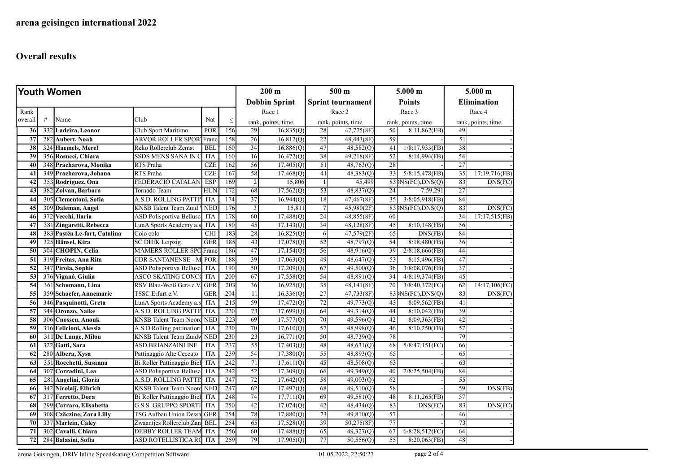| Youth Women |     |                          |                                  |            |     | $200 \text{ m}$      |                    | 500 m                    |                    | 5.000 m         |                      | $5.000$ m          |                    |
|-------------|-----|--------------------------|----------------------------------|------------|-----|----------------------|--------------------|--------------------------|--------------------|-----------------|----------------------|--------------------|--------------------|
|             |     |                          |                                  |            |     | <b>Dobbin Sprint</b> |                    | <b>Sprint tournament</b> |                    | <b>Points</b>   |                      | <b>Elimination</b> |                    |
| Rank        |     |                          |                                  |            |     |                      | Race 1             |                          | Race 2             |                 | Race 3               |                    | Race 4             |
| overall     | #   | Name                     | Club                             | Nat        | Σ   |                      | rank, points, time |                          | rank, points, time |                 | rank, points, time   |                    | rank, points, time |
| 36          |     | 332 Ladeira, Leonor      | Club Sport Maritimo              | POR        | 156 | 29                   | 16,835(Q)          | 28                       | 47,775(8F)         | 50              | $8:11,862$ (FB)      | 49                 |                    |
| 37          | 282 | Aubert, Noah             | <b>ARVOR ROLLER SPORT</b>        | Franc      | 158 | 26                   | 16,812(Q)          | 22                       | 48,443(8F)         | 59              |                      | 51                 |                    |
| 38          |     | 324 Haemels, Merel       | Reko Rollerclub Zemst            | <b>BEL</b> | 160 | 34                   | 16,886(Q)          | 47                       | 48,582(Q)          | 41              | 1/8:17,933(FB)       | 38                 |                    |
| 39          |     | 356 Rosucci, Chiara      | SSDS MENS SANA IN C              | <b>ITA</b> | 160 | 16                   | 16,472(Q)          | 38                       | 49,218(8F)         | 52              | 8:14,994(FB)         | 54                 |                    |
| 40          |     | 348 Pracharova, Monika   | RTS Praha                        | CZE        | 162 | 56                   | 17,405(Q)          | 51                       | 48,763(Q)          | 28              |                      | 27                 |                    |
| 41          |     | 349 Pracharova, Johana   | RTS Praha                        | CZE        | 167 | 58                   | 17,468(Q)          | 41                       | 48,383(Q)          | 33              | $5/8:15,478$ (FB)    | 35                 | 17:19,716(FB)      |
| 42          |     | 353 Rodriguez, Ona       | FEDERACIÓ CATALAN                | <b>ESP</b> | 169 | $\overline{c}$       | 15,806             | 1                        | 45,499             |                 | $83 $ NS(FC), DNS(Q) | 83                 | DNS(FC)            |
| 43          |     | 382 Zolvan, Barbara      | Tornado Team                     | <b>HUN</b> | 172 | 68                   | 17,562(Q)          | 53                       | 48,837(Q)          | 24              | 7:59,291             | $\overline{27}$    |                    |
| 44          |     | 305 Clementoni, Sofia    | A.S.D. ROLLING PATTIN            | <b>ITA</b> | 174 | 37                   | 16,944(Q)          | 18                       | 47,467(8F)         | 35              | 3/8:05,918(FB)       | 84                 |                    |
| 45          |     | 309 Daleman, Angel       | <b>KNSB</b> Talent Team Zuid \   | <b>NED</b> | 176 | 3                    | 15,811             | $\tau$                   | 45,980(2F)         |                 | $83 $ NS(FC), DNS(Q) | 83                 | DNS(FC)            |
| 46          | 372 | Vecchi, Ilaria           | <b>ASD Polisportiva Bellusc</b>  | <b>ITA</b> | 178 | 60                   | 17,488(Q)          | 24                       | 48,855(8F)         | 60              |                      | 34                 | 17:17,515(FB)      |
| 47          |     | 381 Zingaretti, Rebecca  | LunA Sports Academy a.s          | <b>ITA</b> | 180 | 45                   | 17,143(Q)          | 34                       | 48,128(8F)         | 45              | $8:10,148$ (FB)      | 56                 |                    |
| 48          | 383 | Pastén Le-fort, Catalina | Colo colo                        | <b>CHI</b> | 183 | 28                   | 16,825(Q)          | 6                        | 47,579(2F)         | 65              | DNS(FB)              | 84                 |                    |
| 49          |     | 325 Hänsel, Kira         | <b>SC DHfK Leipzig</b>           | GER        | 185 | 43                   | 17,078(Q)          | 52                       | 48,797(Q)          | $\overline{54}$ | 8:18,480(FB)         | 36                 |                    |
| 50          | 304 | <b>CHOPIN, Celia</b>     | <b>MAMERS ROLLER SPO</b>         | Franc      | 186 | 47                   | 17,154(Q)          | 56                       | 48,916(Q)          | 39              | $2/8:18,666$ (FB)    | 44                 |                    |
| 51          |     | 319 Freitas, Ana Rita    | <b>CDR SANTANENSE - M</b>        | POR        | 188 | 39                   | 17,063(Q)          | 49                       | 48,647(Q)          | $\overline{53}$ | 8:15,496(FB)         | 47                 |                    |
| 52          |     | 347 Pirola, Sophie       | <b>ASD Polisportiva Bellusco</b> | <b>ITA</b> | 190 | 50                   | 17,209(Q)          | 67                       | 49,500(Q)          | 36              | $3/8:08,076$ (FB)    | 37                 |                    |
| 53          |     | 376 Viganó, Giulia       | ASCO SKATING CONCO               | <b>ITA</b> | 200 | 67                   | 17,558(Q)          | 54                       | 48,891(O)          | 34              | 4/8:19,374(FB)       | $\overline{45}$    |                    |
| 54          | 361 | Schumann, Lina           | RSV Blau-Weiß Gera e.V           | GER        | 203 | 36                   | 16,925(Q)          | 35                       | 48,141(8F)         | 70              | 3/8:40,372(FC)       | 62                 | 14:17,106(FC)      |
| 55          |     | 359 Schaefer, Annemarie  | TSSC Erfurt e.V.                 | <b>GER</b> | 204 | 11                   | 16,336(Q)          | 27                       | 47,733(8F)         |                 | $83 $ NS(FC), DNS(Q) | 83                 | DNS(FC)            |
| 56          |     | 346 Pasquinotti, Greta   | LunA Sports Academy a.s          | <b>ITA</b> | 215 | 59                   | 17,472(Q)          | 72                       | 49,773(Q)          | 43              | $8:09,562$ (FB)      | 41                 |                    |
| 57          | 344 | <b>Oronzo, Naike</b>     | A.S.D. ROLLING PATTIN            | <b>ITA</b> | 220 | 73                   | 17,699(Q)          | 64                       | 49,314(Q)          | 44              | $8:10,042$ (FB)      | 39                 |                    |
| 58          |     | 306 Cnossen, Anouk       | <b>KNSB</b> Talent Team Noord    | <b>NED</b> | 223 | 69                   | 17,577(Q)          | 70                       | 49,596(Q)          | 42              | 8:09,363(FB)         | $\overline{42}$    |                    |
| 59          |     | 316 Felicioni, Alessia   | A.S.D Rolling pattinatiori       | <b>ITA</b> | 230 | 70                   | 17,610(Q)          | 57                       | 48,998(Q)          | 46              | 8:10,250(FB)         | $\overline{57}$    |                    |
| 60          |     | 311 De Lange, Milou      | <b>KNSB</b> Talent Team Zuidw    | <b>NED</b> | 230 | 23                   | 16,771(Q)          | 50                       | 48,739(Q)          | 78              |                      | 79                 |                    |
| 61          |     | 322 Gatti, Sara          | ASD BRIANZAINLINE                | <b>ITA</b> | 237 | 55                   | 17,403(Q)          | 48                       | 48,631(Q)          | 68              | 5/8:47,151(FC)       | 66                 |                    |
| 62          | 280 | Albera, Xysa             | Pattinaggio Alte Ceccato         | <b>ITA</b> | 239 | 54                   | 17,380(O)          | $\overline{55}$          | 48,893(O)          | 65              |                      | $\overline{65}$    |                    |
| 63          | 351 | Rocchetti, Susanna       | Bi Roller Pattinaggio Biel       | <b>ITA</b> | 242 | 71                   | 17,611(0)          | 45                       | 48,508(0)          | 63              |                      | 63                 |                    |
| 64          | 307 | Corradini, Lea           | <b>ASD Polisportiva Bellusc</b>  | <b>ITA</b> | 242 | 52                   | 17,309(Q)          | 66                       | 49,349(Q)          | 40              | 2/8:25,504(FB)       | 84                 |                    |
| 65          | 281 | Angelini, Gloria         | A.S.D. ROLLING PATTIN            | <b>ITA</b> | 247 | 72                   | 17,642(Q)          | 58                       | 49,003(Q)          | 62              |                      | 55                 |                    |
| 66          |     | 342 Nicolaij, Elbrich    | <b>KNSB Talent Team Noord</b>    | <b>NED</b> | 247 | 62                   | 17,497(Q)          | 68                       | 49,510(Q)          | 58              |                      | 59                 | DNS(FB)            |
| 67          |     | 317 Ferretto, Dora       | Bi Roller Pattinaggio Biel       | <b>ITA</b> | 248 | 74                   | 17,711(Q)          | 69                       | 49,581(0)          | 48              | $8:11,265$ (FB)      | 57                 |                    |
| 68          | 299 | Carraro, Elisabetta      | <b>G.S.S. GRUPPO SPORTI</b>      | <b>ITA</b> | 250 | 42                   | 17,074(Q)          | 42                       | 48,434(Q)          | 83              | DNS(FC)              | 83                 | DNS(FC)            |
| 69          | 308 | Czäczine, Zora Lilly     | <b>TSG Aufbau Union Dessa</b>    | <b>GER</b> | 254 | 78                   | 17,880(Q)          | 73                       | 49,810(Q)          | 57              |                      | 46                 |                    |
| 70          | 337 | <b>Marlein, Caley</b>    | Zwaantjes Rollerclub Zan BEL     |            | 254 | 65                   | 17,528(Q)          | 39                       | 50,275(8F)         | 77              |                      | 73                 |                    |
| 71          | 302 | Cavalli, Chiara          | <b>DEBBY ROLLER TEAM</b>         | <b>ITA</b> | 256 | 60                   | 17,488(Q)          | 65                       | 49,327(Q)          | 67              | 6/8:28,512(FC        | 64                 |                    |
| 72          |     | 284 Balasini, Sofia      | <b>ASD ROTELLISTICA RC</b>       | <b>ITA</b> | 259 | 79                   | 17,905(Q)          | 77                       | 50,556(Q)          | 55              | 8:20,063(FB)         | 48                 |                    |

arena Geisingen, DRIV Inline Speedskating Competition Software 01.05.2022, 22:50:27 page 2 of 4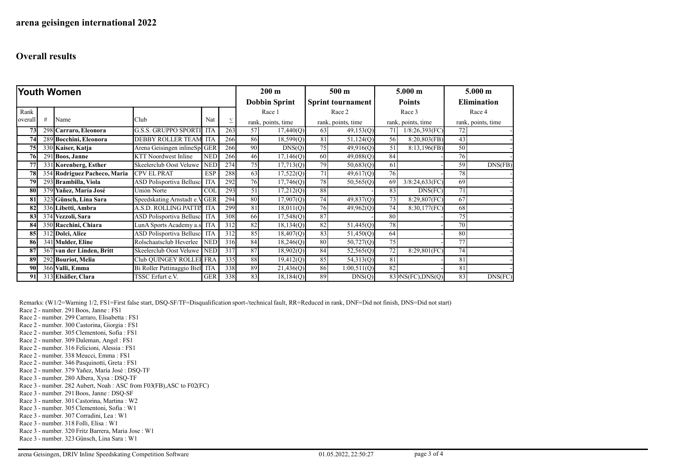| Youth Women |   |                              |                                  |            |     |                    | $200 \text{ m}$        |                    | 500 <sub>m</sub>       |                    | 5.000 m          |                    | $5.000 \;{\rm m}$  |  |
|-------------|---|------------------------------|----------------------------------|------------|-----|--------------------|------------------------|--------------------|------------------------|--------------------|------------------|--------------------|--------------------|--|
|             |   |                              |                                  |            |     |                    | <b>Dobbin Sprint</b>   |                    | Sprint tournament      |                    | <b>Points</b>    |                    | <b>Elimination</b> |  |
| Rank        |   |                              |                                  |            |     |                    | Race 1                 |                    | Race 2                 |                    | Race 3           |                    | Race 4             |  |
| overall     | # | Name                         | Club                             | Nat        | Σ   | rank, points, time |                        | rank, points, time |                        | rank, points, time |                  | rank, points, time |                    |  |
| 73          |   | 298 Carraro, Eleonora        | <b>G.S.S. GRUPPO SPORTI</b>      | <b>ITA</b> | 263 | 57                 | 17,440(Q)              | 63                 | 49,153(Q)              | 71                 | 1/8:26,393(FC)   | 72                 |                    |  |
| 74          |   | 289 Bocchini, Eleonora       | <b>DEBBY ROLLER TEAM</b>         | <b>ITA</b> | 266 | 86                 | 18,599(Q)              | 81                 | 51,124(Q)              | 56                 | $8:20,803$ (FB)  | 43                 |                    |  |
| 75          |   | 330 Kaiser, Katja            | Arena Geisingen inlineSp         | <b>GER</b> | 266 | 90                 | DNS(Q)                 | 75                 | 49,916(Q)              | 51                 | 8:13,196(FB)     | 50                 |                    |  |
| 76          |   | 291 Boos, Janne              | <b>KTT Noordwest Inline</b>      | <b>NED</b> | 266 | 46                 | 17,146(Q)              | 60                 | 49,088(Q)              | 84                 |                  | 76                 |                    |  |
| 77          |   | 331 Korenberg, Esther        | Skeelerclub Oost Veluwe          | <b>NED</b> | 274 | 75                 | 17,713(Q)              | 79                 | $\overline{50,683(Q)}$ | 61                 |                  | 59                 | DNS(FB)            |  |
| 78          |   | 354 Rodriguez Pacheco, Maria | <b>CPV EL PRAT</b>               | <b>ESP</b> | 288 | 63                 | 17,522(Q)              | 71                 | 49,617(Q)              | 76                 |                  | 78                 |                    |  |
| 79          |   | 293 Brambilla, Viola         | <b>ASD Polisportiva Bellusc</b>  | <b>ITA</b> | 292 | 76                 | 17,746(Q)              | 78                 | 50,565(Q)              | 69                 | 3/8:24,633(FC)   | 69                 |                    |  |
| 80          |   | 379 Yañez, María José        | Unión Norte                      | COL        | 293 | 51                 | 17,212(Q)              | 88                 |                        | 83                 | DNS(FC)          | 71                 |                    |  |
| 81          |   | 323 Günsch, Lina Sara        | Speedskating Arnstadt e.V GER    |            | 294 | 80                 | 17,907(Q)              | 74                 | 49,837(Q)              | 73                 | 8:29,807(FC)     | 67                 |                    |  |
| 82          |   | 336 Libetti, Ambra           | A.S.D. ROLLING PATTIN            | <b>ITA</b> | 299 | 81                 | 18,011(Q)              | 76                 | 49,962(Q)              | 74                 | 8:30,177(FC)     | 68                 |                    |  |
| 83          |   | 374 Vezzoli, Sara            | <b>ASD Polisportiva Bellusco</b> | <b>ITA</b> | 308 | 66                 | $\overline{17,548(Q)}$ | 87                 |                        | 80                 |                  | 75                 |                    |  |
| 84          |   | 350 Racchini, Chiara         | LunA Sports Academy a.s          | <b>ITA</b> | 312 | 82                 | 18,134(Q)              | 82                 | 51,445(Q)              | 78                 |                  | 70                 |                    |  |
| 85          |   | 312 Dolci, Alice             | <b>ASD Polisportiva Bellusco</b> | <b>ITA</b> | 312 | 85                 | 18,407(Q)              | 83                 | 51,450(Q)              | 64                 |                  | 80                 |                    |  |
| 86          |   | 341 Mulder, Eline            | Rolschaatsclub Heverlee          | <b>NED</b> | 316 | 84                 | 18,246(Q)              | 80                 | 50,727(Q)              | 75                 |                  | 77                 |                    |  |
| 87          |   | 367 van der Linden, Britt    | Skeelerclub Oost Veluwe NED      |            | 317 | 87                 | 18,902(Q)              | 84                 | 52,565(Q)              | $\overline{72}$    | 8:29,801(FC)     | 74                 |                    |  |
| 89          |   | 292 Bouriot, Melia           | Club QUINGEY ROLLEH FRA          |            | 335 | 88                 | 19,412(Q)              | 85                 | 54,313(Q)              | 81                 |                  | 81                 |                    |  |
| 90          |   | 366 Valli, Emma              | Bi Roller Pattinaggio Biel       | <b>ITA</b> | 338 | 89                 | $\overline{21,}436(Q)$ | 86                 | 1:00,511(Q)            | 82                 |                  | 81                 |                    |  |
| 91          |   | 313 Elsäßer, Clara           | TSSC Erfurt e.V.                 | <b>GER</b> | 338 | 83                 | 18,184(Q)              | 89                 | DNS(Q)                 |                    | 83 NS(FC),DNS(Q) | 83                 | DNS(FC)            |  |

Remarks: (W1/2=Warning 1/2, FS1=First false start, DSQ-SF/TF=Disqualification sport-/technical fault, RR=Reduced in rank, DNF=Did not finish, DNS=Did not start)

Race 2 - number. 291 Boos, Janne : FS1

- Race 2 number. 299 Carraro, Elisabetta : FS1
- Race 2 number. 300 Castorina, Giorgia : FS1
- Race 2 number. 305 Clementoni, Sofia : FS1
- Race 2 number. 309 Daleman, Angel : FS1
- Race 2 number. 316 Felicioni, Alessia : FS1
- Race 2 number. 338 Meucci, Emma : FS1
- Race 2 number. 346 Pasquinotti, Greta : FS1
- Race 2 number. 379 Yañez, María José : DSQ-TF
- Race 3 number. 280 Albera, Xysa : DSQ-TF
- Race 3 number. 282 Aubert, Noah : ASC from F03(FB),ASC to F02(FC)
- Race 3 number. 291 Boos, Janne : DSQ-SF
- Race 3 number. 301 Castorina, Martina : W2
- Race 3 number. 305 Clementoni, Sofia : W1
- Race 3 number. 307 Corradini, Lea : W1
- Race 3 number. 318 Folli, Elisa : W1
- Race 3 number. 320 Fritz Barrera, Maria Jose : W1
- Race 3 number. 323 Günsch, Lina Sara : W1